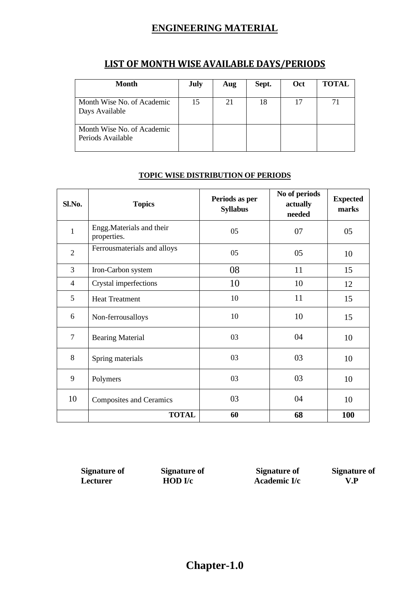### **ENGINEERING MATERIAL**

| <b>Month</b>                                    | July | Aug | Sept. | Oct | <b>TOTAL</b> |
|-------------------------------------------------|------|-----|-------|-----|--------------|
| Month Wise No. of Academic<br>Days Available    | 15   | 21  | 18    | 17  | 71           |
| Month Wise No. of Academic<br>Periods Available |      |     |       |     |              |

#### **LIST OF MONTH WISE AVAILABLE DAYS/PERIODS**

### **SI.No. Topics Periods as per Periods** as per **Syllabus No of periods actually needed Expected marks** 1 Engg.Materials and their Engg.waterials and their  $05$  07 07 05<br>properties. 2 Ferrousmaterials and alloys  $05 \t\t 05 \t\t 10$ 3 Iron-Carbon system 108 11 15 4 Crystal imperfections 10 10 12 5 | Heat Treatment 10 10 | 11 | 15 6 Non-ferrousalloys 10 10 10 15 7 Bearing Material 03 03 04 10 8 Spring materials 03 03 10 9 Polymers 03 03 10 10 Composites and Ceramics 03 03 04 10

#### **TOPIC WISE DISTRIBUTION OF PERIODS**

**Signature of** Signature of **Signature of Signature of <b>Signature of Signature of Example 1 Signature of Example 1 C Example 1 C Example 1 C Example 1 C Example 1 C Example 1 C Example 1** *Lecturer* **HOD I/c Academic I/c V.P** 

**TOTAL 60 68 100**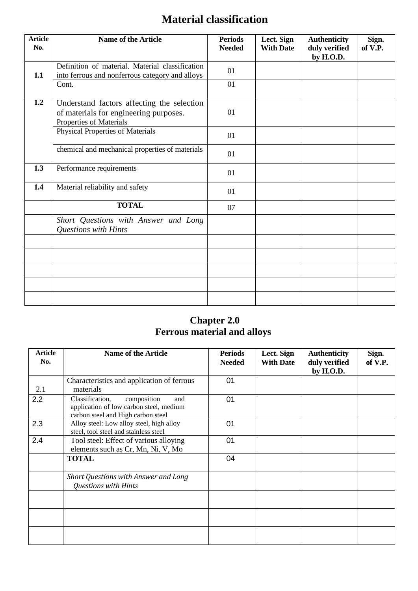# **Material classification**

| <b>Article</b><br>No. | <b>Name of the Article</b>                                                                                      | <b>Periods</b><br><b>Needed</b> | Lect. Sign<br><b>With Date</b> | <b>Authenticity</b><br>duly verified<br>by H.O.D. | Sign.<br>of V.P. |
|-----------------------|-----------------------------------------------------------------------------------------------------------------|---------------------------------|--------------------------------|---------------------------------------------------|------------------|
| 1.1                   | Definition of material. Material classification<br>into ferrous and nonferrous category and alloys              | 01                              |                                |                                                   |                  |
|                       | Cont.                                                                                                           | 01                              |                                |                                                   |                  |
| 1.2                   | Understand factors affecting the selection<br>of materials for engineering purposes.<br>Properties of Materials | 01                              |                                |                                                   |                  |
|                       | <b>Physical Properties of Materials</b>                                                                         | 01                              |                                |                                                   |                  |
|                       | chemical and mechanical properties of materials                                                                 | 01                              |                                |                                                   |                  |
| 1.3                   | Performance requirements                                                                                        | 01                              |                                |                                                   |                  |
| 1.4                   | Material reliability and safety                                                                                 | 01                              |                                |                                                   |                  |
|                       | <b>TOTAL</b>                                                                                                    | 07                              |                                |                                                   |                  |
|                       | Short Questions with Answer and Long<br>Questions with Hints                                                    |                                 |                                |                                                   |                  |
|                       |                                                                                                                 |                                 |                                |                                                   |                  |
|                       |                                                                                                                 |                                 |                                |                                                   |                  |
|                       |                                                                                                                 |                                 |                                |                                                   |                  |
|                       |                                                                                                                 |                                 |                                |                                                   |                  |
|                       |                                                                                                                 |                                 |                                |                                                   |                  |

### **Chapter 2.0 Ferrous material and alloys**

| Article<br>No. | <b>Name of the Article</b>                                                                                             | <b>Periods</b><br><b>Needed</b> | Lect. Sign<br><b>With Date</b> | <b>Authenticity</b><br>duly verified<br>by H.O.D. | Sign.<br>of V.P. |
|----------------|------------------------------------------------------------------------------------------------------------------------|---------------------------------|--------------------------------|---------------------------------------------------|------------------|
| 2.1            | Characteristics and application of ferrous<br>materials                                                                | 01                              |                                |                                                   |                  |
| 2.2            | Classification,<br>composition<br>and<br>application of low carbon steel, medium<br>carbon steel and High carbon steel | 01                              |                                |                                                   |                  |
| 2.3            | Alloy steel: Low alloy steel, high alloy<br>steel, tool steel and stainless steel                                      | 01                              |                                |                                                   |                  |
| 2.4            | Tool steel: Effect of various alloying<br>elements such as Cr, Mn, Ni, V, Mo                                           | 01                              |                                |                                                   |                  |
|                | <b>TOTAL</b>                                                                                                           | 04                              |                                |                                                   |                  |
|                | Short Questions with Answer and Long<br><b>Questions with Hints</b>                                                    |                                 |                                |                                                   |                  |
|                |                                                                                                                        |                                 |                                |                                                   |                  |
|                |                                                                                                                        |                                 |                                |                                                   |                  |
|                |                                                                                                                        |                                 |                                |                                                   |                  |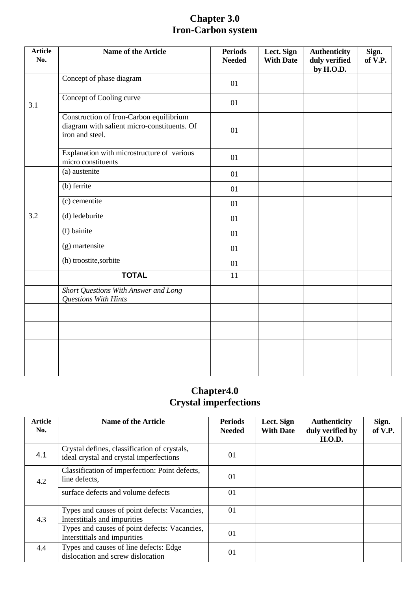### **Chapter 3.0 Iron-Carbon system**

| <b>Article</b><br>No. | Name of the Article                                                                                       | <b>Periods</b><br><b>Needed</b> | Lect. Sign<br><b>With Date</b> | <b>Authenticity</b><br>duly verified<br>by H.O.D. | Sign.<br>of V.P. |
|-----------------------|-----------------------------------------------------------------------------------------------------------|---------------------------------|--------------------------------|---------------------------------------------------|------------------|
|                       | Concept of phase diagram                                                                                  | 01                              |                                |                                                   |                  |
| 3.1                   | Concept of Cooling curve                                                                                  | 01                              |                                |                                                   |                  |
|                       | Construction of Iron-Carbon equilibrium<br>diagram with salient micro-constituents. Of<br>iron and steel. | 01                              |                                |                                                   |                  |
|                       | Explanation with microstructure of various<br>micro constituents                                          | 01                              |                                |                                                   |                  |
|                       | (a) austenite                                                                                             | 01                              |                                |                                                   |                  |
|                       | (b) ferrite                                                                                               | 01                              |                                |                                                   |                  |
|                       | (c) cementite                                                                                             | 01                              |                                |                                                   |                  |
| 3.2                   | (d) ledeburite                                                                                            | 01                              |                                |                                                   |                  |
|                       | (f) bainite                                                                                               | 01                              |                                |                                                   |                  |
|                       | (g) martensite                                                                                            | 01                              |                                |                                                   |                  |
|                       | (h) troostite, sorbite                                                                                    | 01                              |                                |                                                   |                  |
|                       | <b>TOTAL</b>                                                                                              | 11                              |                                |                                                   |                  |
|                       | Short Questions With Answer and Long<br><b>Questions With Hints</b>                                       |                                 |                                |                                                   |                  |
|                       |                                                                                                           |                                 |                                |                                                   |                  |
|                       |                                                                                                           |                                 |                                |                                                   |                  |
|                       |                                                                                                           |                                 |                                |                                                   |                  |
|                       |                                                                                                           |                                 |                                |                                                   |                  |

#### **Chapter4.0 Crystal imperfections**

| <b>Article</b><br>No. | <b>Name of the Article</b>                                                              | <b>Periods</b><br><b>Needed</b> | Lect. Sign<br><b>With Date</b> | <b>Authenticity</b><br>duly verified by<br><b>H.O.D.</b> | Sign.<br>of V.P. |
|-----------------------|-----------------------------------------------------------------------------------------|---------------------------------|--------------------------------|----------------------------------------------------------|------------------|
| 4.1                   | Crystal defines, classification of crystals,<br>ideal crystal and crystal imperfections | 01                              |                                |                                                          |                  |
| 4.2                   | Classification of imperfection: Point defects,<br>line defects,                         | $\Omega$                        |                                |                                                          |                  |
|                       | surface defects and volume defects                                                      | 01                              |                                |                                                          |                  |
| 4.3                   | Types and causes of point defects: Vacancies,<br>Interstitials and impurities           | 0 <sub>1</sub>                  |                                |                                                          |                  |
|                       | Types and causes of point defects: Vacancies,<br>Interstitials and impurities           | 01                              |                                |                                                          |                  |
| 4.4                   | Types and causes of line defects: Edge<br>dislocation and screw dislocation             | $\Omega$                        |                                |                                                          |                  |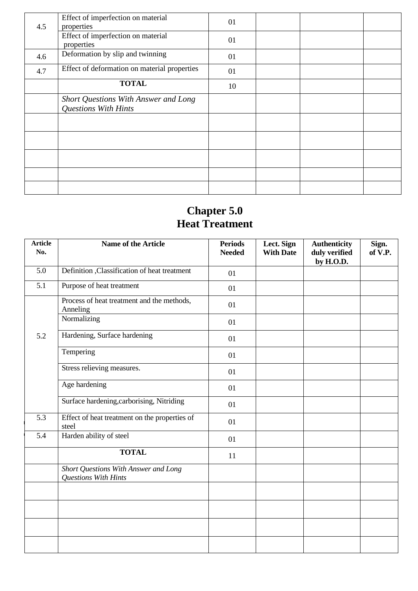| 4.5 | Effect of imperfection on material<br>properties                    | 01 |  |  |
|-----|---------------------------------------------------------------------|----|--|--|
|     | Effect of imperfection on material<br>properties                    | 01 |  |  |
| 4.6 | Deformation by slip and twinning                                    | 01 |  |  |
| 4.7 | Effect of deformation on material properties                        | 01 |  |  |
|     | <b>TOTAL</b>                                                        | 10 |  |  |
|     | Short Questions With Answer and Long<br><b>Questions With Hints</b> |    |  |  |
|     |                                                                     |    |  |  |
|     |                                                                     |    |  |  |
|     |                                                                     |    |  |  |
|     |                                                                     |    |  |  |
|     |                                                                     |    |  |  |

 $\hat{\mathcal{E}}$  $\ddot{\phantom{a}}$ 

### **Chapter 5.0 Heat Treatment**

| <b>Article</b><br>No. | Name of the Article                                                 | <b>Periods</b><br><b>Needed</b> | Lect. Sign<br><b>With Date</b> | <b>Authenticity</b><br>duly verified<br>by H.O.D. | Sign.<br>of V.P. |
|-----------------------|---------------------------------------------------------------------|---------------------------------|--------------------------------|---------------------------------------------------|------------------|
| 5.0                   | Definition ,Classification of heat treatment                        | 01                              |                                |                                                   |                  |
| 5.1                   | Purpose of heat treatment                                           | 01                              |                                |                                                   |                  |
|                       | Process of heat treatment and the methods,<br>Anneling              | 01                              |                                |                                                   |                  |
|                       | Normalizing                                                         | 01                              |                                |                                                   |                  |
| 5.2                   | Hardening, Surface hardening                                        | 01                              |                                |                                                   |                  |
|                       | Tempering                                                           | 01                              |                                |                                                   |                  |
|                       | Stress relieving measures.                                          | 01                              |                                |                                                   |                  |
|                       | Age hardening                                                       | 01                              |                                |                                                   |                  |
|                       | Surface hardening, carborising, Nitriding                           | 01                              |                                |                                                   |                  |
| 5.3                   | Effect of heat treatment on the properties of<br>steel              | 01                              |                                |                                                   |                  |
| 5.4                   | Harden ability of steel                                             | 01                              |                                |                                                   |                  |
|                       | <b>TOTAL</b>                                                        | 11                              |                                |                                                   |                  |
|                       | Short Questions With Answer and Long<br><b>Questions With Hints</b> |                                 |                                |                                                   |                  |
|                       |                                                                     |                                 |                                |                                                   |                  |
|                       |                                                                     |                                 |                                |                                                   |                  |
|                       |                                                                     |                                 |                                |                                                   |                  |
|                       |                                                                     |                                 |                                |                                                   |                  |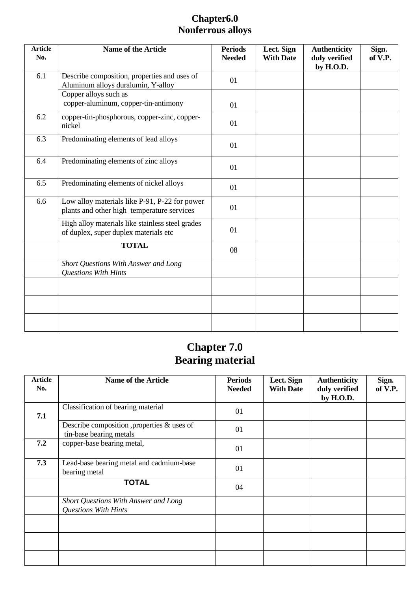### **Chapter6.0 Nonferrous alloys**

| <b>Article</b><br>No. | <b>Name of the Article</b>                                                                  | <b>Periods</b><br><b>Needed</b> | Lect. Sign<br><b>With Date</b> | <b>Authenticity</b><br>duly verified<br>by H.O.D. | Sign.<br>of V.P. |
|-----------------------|---------------------------------------------------------------------------------------------|---------------------------------|--------------------------------|---------------------------------------------------|------------------|
| 6.1                   | Describe composition, properties and uses of<br>Aluminum alloys duralumin, Y-alloy          | 01                              |                                |                                                   |                  |
|                       | Copper alloys such as<br>copper-aluminum, copper-tin-antimony                               | 01                              |                                |                                                   |                  |
| 6.2                   | copper-tin-phosphorous, copper-zinc, copper-<br>nickel                                      | 01                              |                                |                                                   |                  |
| 6.3                   | Predominating elements of lead alloys                                                       | 01                              |                                |                                                   |                  |
| 6.4                   | Predominating elements of zinc alloys                                                       | 01                              |                                |                                                   |                  |
| 6.5                   | Predominating elements of nickel alloys                                                     | 01                              |                                |                                                   |                  |
| 6.6                   | Low alloy materials like P-91, P-22 for power<br>plants and other high temperature services | 01                              |                                |                                                   |                  |
|                       | High alloy materials like stainless steel grades<br>of duplex, super duplex materials etc   | 01                              |                                |                                                   |                  |
|                       | <b>TOTAL</b>                                                                                | 08                              |                                |                                                   |                  |
|                       | Short Questions With Answer and Long<br><b>Questions With Hints</b>                         |                                 |                                |                                                   |                  |
|                       |                                                                                             |                                 |                                |                                                   |                  |
|                       |                                                                                             |                                 |                                |                                                   |                  |
|                       |                                                                                             |                                 |                                |                                                   |                  |

## **Chapter 7.0 Bearing material**

| <b>Article</b><br>No. | <b>Name of the Article</b>                                             | <b>Periods</b><br><b>Needed</b> | Lect. Sign<br><b>With Date</b> | <b>Authenticity</b><br>duly verified<br>by H.O.D. | Sign.<br>of V.P. |
|-----------------------|------------------------------------------------------------------------|---------------------------------|--------------------------------|---------------------------------------------------|------------------|
| 7.1                   | Classification of bearing material                                     | 01                              |                                |                                                   |                  |
|                       | Describe composition , properties & uses of<br>tin-base bearing metals | 01                              |                                |                                                   |                  |
| 7.2                   | copper-base bearing metal,                                             | 01                              |                                |                                                   |                  |
| 7.3                   | Lead-base bearing metal and cadmium-base<br>bearing metal              | 01                              |                                |                                                   |                  |
|                       | <b>TOTAL</b>                                                           | 04                              |                                |                                                   |                  |
|                       | Short Questions With Answer and Long<br><b>Questions With Hints</b>    |                                 |                                |                                                   |                  |
|                       |                                                                        |                                 |                                |                                                   |                  |
|                       |                                                                        |                                 |                                |                                                   |                  |
|                       |                                                                        |                                 |                                |                                                   |                  |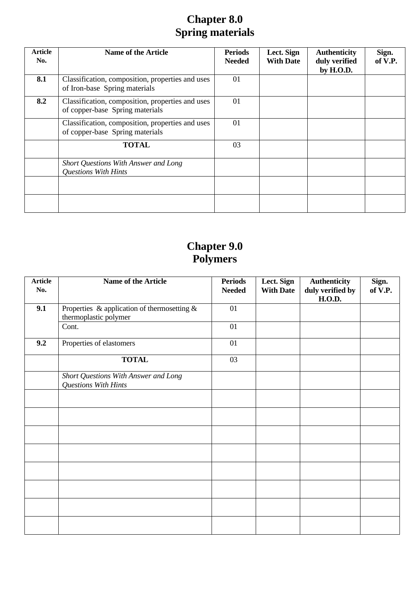## **Chapter 8.0 Spring materials**

| <b>Article</b><br>No. | <b>Name of the Article</b>                                                          | <b>Periods</b><br><b>Needed</b> | Lect. Sign<br><b>With Date</b> | <b>Authenticity</b><br>duly verified<br>by H.O.D. | Sign.<br>of V.P. |
|-----------------------|-------------------------------------------------------------------------------------|---------------------------------|--------------------------------|---------------------------------------------------|------------------|
| 8.1                   | Classification, composition, properties and uses<br>of Iron-base Spring materials   | 01                              |                                |                                                   |                  |
| 8.2                   | Classification, composition, properties and uses<br>of copper-base Spring materials | 01                              |                                |                                                   |                  |
|                       | Classification, composition, properties and uses<br>of copper-base Spring materials | 01                              |                                |                                                   |                  |
|                       | <b>TOTAL</b>                                                                        | 03                              |                                |                                                   |                  |
|                       | Short Questions With Answer and Long<br><b>Questions With Hints</b>                 |                                 |                                |                                                   |                  |
|                       |                                                                                     |                                 |                                |                                                   |                  |
|                       |                                                                                     |                                 |                                |                                                   |                  |

### **Chapter 9.0 Polymers**

| <b>Article</b><br>No. | <b>Name of the Article</b>                                              | <b>Periods</b><br><b>Needed</b> | Lect. Sign<br><b>With Date</b> | <b>Authenticity</b><br>duly verified by<br><b>H.O.D.</b> | Sign.<br>of V.P. |
|-----------------------|-------------------------------------------------------------------------|---------------------------------|--------------------------------|----------------------------------------------------------|------------------|
| 9.1                   | Properties & application of thermosetting $\&$<br>thermoplastic polymer | 01                              |                                |                                                          |                  |
|                       | Cont.                                                                   | 01                              |                                |                                                          |                  |
| 9.2                   | Properties of elastomers                                                | 01                              |                                |                                                          |                  |
|                       | <b>TOTAL</b>                                                            | 03                              |                                |                                                          |                  |
|                       | Short Questions With Answer and Long<br>Questions With Hints            |                                 |                                |                                                          |                  |
|                       |                                                                         |                                 |                                |                                                          |                  |
|                       |                                                                         |                                 |                                |                                                          |                  |
|                       |                                                                         |                                 |                                |                                                          |                  |
|                       |                                                                         |                                 |                                |                                                          |                  |
|                       |                                                                         |                                 |                                |                                                          |                  |
|                       |                                                                         |                                 |                                |                                                          |                  |
|                       |                                                                         |                                 |                                |                                                          |                  |
|                       |                                                                         |                                 |                                |                                                          |                  |